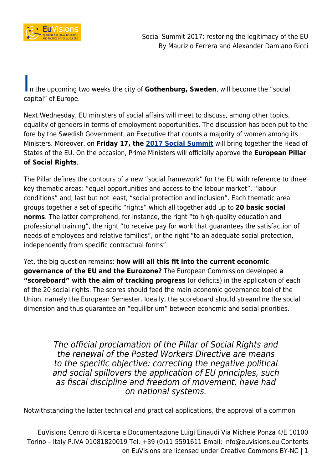

In the upcoming two weeks the city of **Gothenburg, Sweden**, will become the "social capital" of Europe.

Next Wednesday, EU ministers of social affairs will meet to discuss, among other topics, equality of genders in terms of employment opportunities. The discussion has been put to the fore by the Swedish Government, an Executive that counts a majority of women among its Ministers. Moreover, on **Friday 17, the [2017 Social Summit](https://www.socialsummit17.se)** will bring together the Head of States of the EU. On the occasion, Prime Ministers will officially approve the **European Pillar of Social Rights**.

The Pillar defines the contours of a new "social framework" for the EU with reference to three key thematic areas: "equal opportunities and access to the labour market", "labour conditions" and, last but not least, "social protection and inclusion". Each thematic area groups together a set of specific "rights" which all together add up to **20 basic social norms**. The latter comprehend, for instance, the right "to high-quality education and professional training", the right "to receive pay for work that guarantees the satisfaction of needs of employees and relative families", or the right "to an adequate social protection, independently from specific contractual forms".

Yet, the big question remains: **how will all this fit into the current economic governance of the EU and the Eurozone?** The European Commission developed **a "scoreboard" with the aim of tracking progress** (or deficits) in the application of each of the 20 social rights. The scores should feed the main economic governance tool of the Union, namely the European Semester. Ideally, the scoreboard should streamline the social dimension and thus guarantee an "equilibrium" between economic and social priorities.

> The official proclamation of the Pillar of Social Rights and the renewal of the Posted Workers Directive are means to the specific objective: correcting the negative political and social spillovers the application of EU principles, such as fiscal discipline and freedom of movement, have had on national systems.

Notwithstanding the latter technical and practical applications, the approval of a common

EuVisions Centro di Ricerca e Documentazione Luigi Einaudi Via Michele Ponza 4/E 10100 Torino – Italy P.IVA 01081820019 Tel. +39 (0)11 5591611 Email: info@euvisions.eu Contents on EuVisions are licensed under Creative Commons BY-NC | 1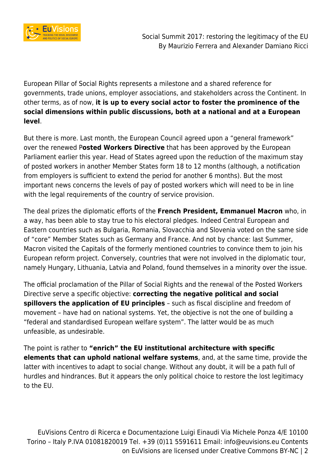

European Pillar of Social Rights represents a milestone and a shared reference for governments, trade unions, employer associations, and stakeholders across the Continent. In other terms, as of now, **it is up to every social actor to foster the prominence of the social dimensions within public discussions, both at a national and at a European level**.

But there is more. Last month, the European Council agreed upon a "general framework" over the renewed P**osted Workers Directive** that has been approved by the European Parliament earlier this year. Head of States agreed upon the reduction of the maximum stay of posted workers in another Member States form 18 to 12 months (although, a notification from employers is sufficient to extend the period for another 6 months). But the most important news concerns the levels of pay of posted workers which will need to be in line with the legal requirements of the country of service provision.

The deal prizes the diplomatic efforts of the **French President, Emmanuel Macron** who, in a way, has been able to stay true to his electoral pledges. Indeed Central European and Eastern countries such as Bulgaria, Romania, Slovacchia and Slovenia voted on the same side of "core" Member States such as Germany and France. And not by chance: last Summer, Macron visited the Capitals of the formerly mentioned countries to convince them to join his European reform project. Conversely, countries that were not involved in the diplomatic tour, namely Hungary, Lithuania, Latvia and Poland, found themselves in a minority over the issue.

The official proclamation of the Pillar of Social Rights and the renewal of the Posted Workers Directive serve a specific objective: **correcting the negative political and social spillovers the application of EU principles** – such as fiscal discipline and freedom of movement – have had on national systems. Yet, the objective is not the one of building a "federal and standardised European welfare system". The latter would be as much unfeasible, as undesirable.

The point is rather to **"enrich" the EU institutional architecture with specific elements that can uphold national welfare systems**, and, at the same time, provide the latter with incentives to adapt to social change. Without any doubt, it will be a path full of hurdles and hindrances. But it appears the only political choice to restore the lost legitimacy to the EU.

EuVisions Centro di Ricerca e Documentazione Luigi Einaudi Via Michele Ponza 4/E 10100 Torino – Italy P.IVA 01081820019 Tel. +39 (0)11 5591611 Email: info@euvisions.eu Contents on EuVisions are licensed under Creative Commons BY-NC | 2